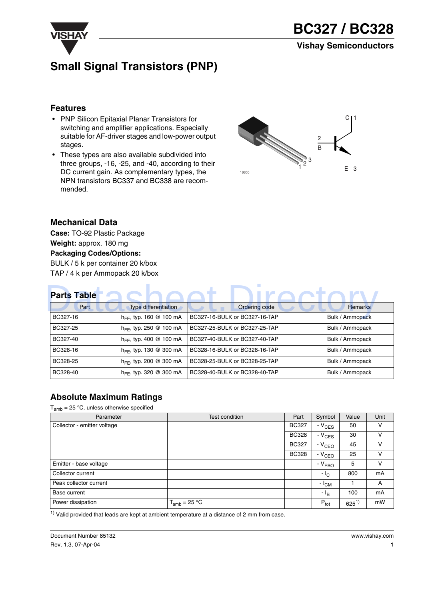

## **Small Signal Transistors (PNP)**

#### **Features**

- PNP Silicon Epitaxial Planar Transistors for switching and amplifier applications. Especially suitable for AF-driver stages and low-power output stages.
- These types are also available subdivided into three groups, -16, -25, and -40, according to their DC current gain. As complementary types, the NPN transistors BC337 and BC338 are recommended.



#### **Mechanical Data**

**Case:** TO-92 Plastic Package **Weight:** approx. 180 mg **Packaging Codes/Options:** BULK / 5 k per container 20 k/box TAP / 4 k per Ammopack 20 k/box

## **Parts Table**

| <b>Parts Table</b> |                                     |                               |                 |  |  |  |  |
|--------------------|-------------------------------------|-------------------------------|-----------------|--|--|--|--|
| Part               | <b>Type differentiation</b>         | Ordering code                 | <b>Remarks</b>  |  |  |  |  |
| BC327-16           | $h_{FE}$ , typ. 160 @ 100 mA        | BC327-16-BULK or BC327-16-TAP | Bulk / Ammopack |  |  |  |  |
| BC327-25           | $h_{FE}$ , typ. 250 @ 100 mA        | BC327-25-BULK or BC327-25-TAP | Bulk / Ammopack |  |  |  |  |
| BC327-40           | $h_{\text{FE}}$ , typ. 400 @ 100 mA | BC327-40-BULK or BC327-40-TAP | Bulk / Ammopack |  |  |  |  |
| BC328-16           | $h_{FE}$ , typ. 130 @ 300 mA        | BC328-16-BULK or BC328-16-TAP | Bulk / Ammopack |  |  |  |  |
| BC328-25           | $h_{FE}$ , typ. 200 @ 300 mA        | BC328-25-BULK or BC328-25-TAP | Bulk / Ammopack |  |  |  |  |
| BC328-40           | $h_{FE}$ , typ. 320 @ 300 mA        | BC328-40-BULK or BC328-40-TAP | Bulk / Ammopack |  |  |  |  |

#### **Absolute Maximum Ratings**

 $T_{amb}$  = 25 °C, unless otherwise specified

| Parameter                   | Test condition    | Part         | Symbol           | Value     | Unit |
|-----------------------------|-------------------|--------------|------------------|-----------|------|
| Collector - emitter voltage |                   | <b>BC327</b> | $-V_{CES}$       | 50        | v    |
|                             |                   | <b>BC328</b> | $-V_{CES}$       | 30        | v    |
|                             |                   | <b>BC327</b> | $-VCEO$          | 45        | v    |
|                             |                   | <b>BC328</b> | $-VCEO$          | 25        | v    |
| Emitter - base voltage      |                   |              | $-VEBO$          | 5         | v    |
| Collector current           |                   |              | $-1C$            | 800       | mA   |
| Peak collector current      |                   |              | $- I_{CM}$       |           | A    |
| Base current                |                   |              | - I <sub>B</sub> | 100       | mA   |
| Power dissipation           | $T_{amb}$ = 25 °C |              | $P_{\text{tot}}$ | $625^{1}$ | mW   |

 $1)$  Valid provided that leads are kept at ambient temperature at a distance of 2 mm from case.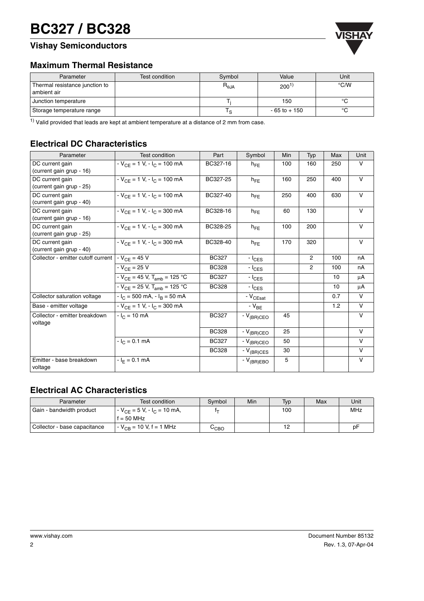## **VISHAY BC327 / BC328**

## **Vishay Semiconductors**



#### **Maximum Thermal Resistance**

| Parameter                                     | Test condition | Symbol          | Value            | Unit          |
|-----------------------------------------------|----------------|-----------------|------------------|---------------|
| Thermal resistance junction to<br>ambient air |                | $R_{\theta,JA}$ | 200 <sup>1</sup> | $\degree$ C/W |
| Junction temperature                          |                |                 | 150              | °C            |
| Storage temperature range                     |                |                 | $-65$ to $+150$  | $\circ$       |

 $1)$  Valid provided that leads are kept at ambient temperature at a distance of 2 mm from case.

## **Electrical DC Characteristics**

| Parameter                                   | <b>Test condition</b>                        | Part         | Symbol         | Min | Typ            | Max | Unit         |
|---------------------------------------------|----------------------------------------------|--------------|----------------|-----|----------------|-----|--------------|
| DC current gain<br>(current gain grup - 16) | $-V_{CE} = 1 V, -I_C = 100 mA$               | BC327-16     | $h_{FF}$       | 100 | 160            | 250 | V            |
| DC current gain<br>(current gain grup - 25) | $-V_{CE} = 1 V, - I_C = 100 mA$              | BC327-25     | $h_{FE}$       | 160 | 250            | 400 | $\mathsf{V}$ |
| DC current gain<br>(current gain grup - 40) | $-V_{CF}$ = 1 V, $-V_{C}$ = 100 mA           | BC327-40     | $h_{FE}$       | 250 | 400            | 630 | $\mathsf{V}$ |
| DC current gain<br>(current gain grup - 16) | $-V_{CE} = 1 V, -I_C = 300 mA$               | BC328-16     | $h_{FE}$       | 60  | 130            |     | $\mathsf{V}$ |
| DC current gain<br>(current gain grup - 25) | $-V_{CF}$ = 1 V, $-V_{C}$ = 300 mA           | BC328-25     | $h_{FE}$       | 100 | 200            |     | $\vee$       |
| DC current gain<br>(current gain grup - 40) | $-V_{CF}$ = 1 V, $-V_{C}$ = 300 mA           | BC328-40     | $h_{FF}$       | 170 | 320            |     | $\mathsf{V}$ |
| Collector - emitter cutoff current          | $-V_{CF} = 45 V$                             | <b>BC327</b> | $ l_{CES}$     |     | $\overline{2}$ | 100 | nA           |
|                                             | $-V_{CE} = 25 V$                             | <b>BC328</b> | $- I_{CES}$    |     | $\overline{2}$ | 100 | nA           |
|                                             | - $V_{CE}$ = 45 V, T <sub>amb</sub> = 125 °C | <b>BC327</b> | $- I_{CES}$    |     |                | 10  | μA           |
|                                             | $-V_{CF}$ = 25 V, T <sub>amb</sub> = 125 °C  | <b>BC328</b> | $-l_{CES}$     |     |                | 10  | μA           |
| Collector saturation voltage                | $-IC$ = 500 mA, $-IB$ = 50 mA                |              | - $V_{CEsat}$  |     |                | 0.7 | $\vee$       |
| Base - emitter voltage                      | $-V_{CE} = 1 V, -I_C = 300 mA$               |              | $-V_{BE}$      |     |                | 1.2 | V            |
| Collector - emitter breakdown<br>voltage    | $-lC = 10 mA$                                | <b>BC327</b> | $-V_{(BR)CEO}$ | 45  |                |     | $\mathsf{V}$ |
|                                             |                                              | <b>BC328</b> | $-V_{(BR)CEO}$ | 25  |                |     | $\mathsf{V}$ |
|                                             | $-IC = 0.1 mA$                               | <b>BC327</b> | $-V_{(BR)CEO}$ | 50  |                |     | $\mathsf{V}$ |
|                                             |                                              | <b>BC328</b> | $-V_{(BR)CES}$ | 30  |                |     | V            |
| Emitter - base breakdown<br>voltage         | $-I_F = 0.1$ mA                              |              | $-V_{(BR)EBO}$ | 5   |                |     | $\mathsf{V}$ |

#### **Electrical AC Characteristics**

| Parameter                    | Test condition                                   | Symbol                      | Min | Typ | Max | Unit |
|------------------------------|--------------------------------------------------|-----------------------------|-----|-----|-----|------|
| Gain - bandwidth product     | $-V_{CF}$ = 5 V, $-V_{C}$ = 10 mA,<br>$= 50$ MHz |                             |     | 100 |     | MHz  |
| Collector - base capacitance | $-V_{CB}$ = 10 V, f = 1 MHz                      | $\mathtt{C}_{\texttt{CBO}}$ |     |     |     | рF   |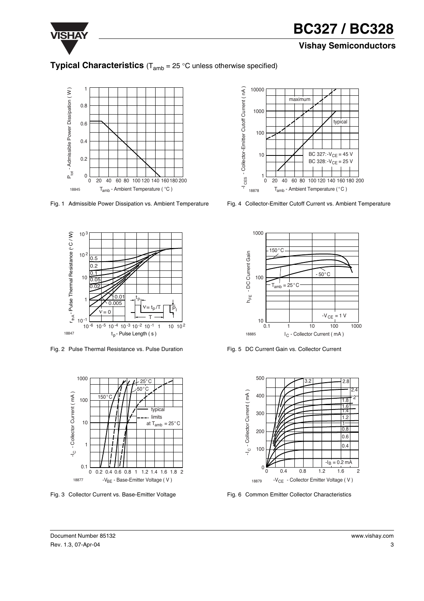

## **VISHAY BC327 / BC328**

### **Vishay Semiconductors**

## **Typical Characteristics** (T<sub>amb</sub> = 25 °C unless otherwise specified)



Fig. 1 Admissible Power Dissipation vs. Ambient Temperature



Fig. 2 Pulse Thermal Resistance vs. Pulse Duration



Fig. 3 Collector Current vs. Base-Emitter Voltage



Fig. 4 Collector-Emitter Cutoff Current vs. Ambient Temperature



Fig. 5 DC Current Gain vs. Collector Current



Fig. 6 Common Emitter Collector Characteristics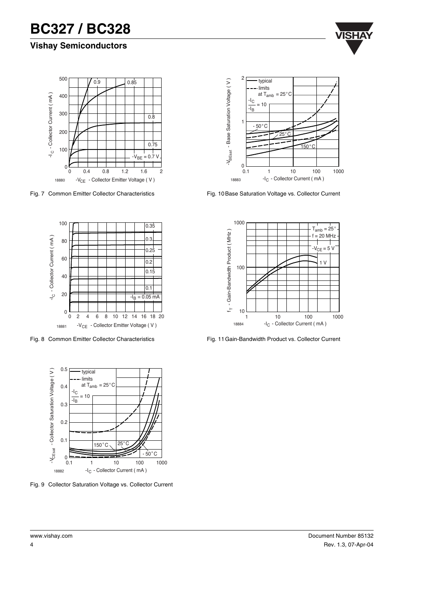## **VISHAY BC327 / BC328**

## **Vishay Semiconductors**





Fig. 7 Common Emitter Collector Characteristics



Fig. 8 Common Emitter Collector Characteristics



Fig. 10 Base Saturation Voltage vs. Collector Current



Fig. 11 Gain-Bandwidth Product vs. Collector Current

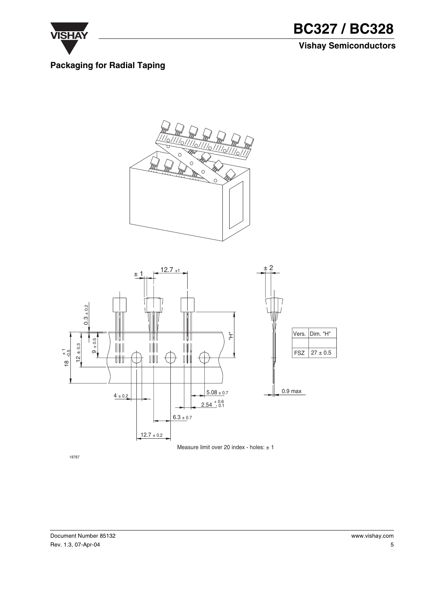

**VISHAY BC327 / BC328 Vishay Semiconductors**

### **Packaging for Radial Taping**





18787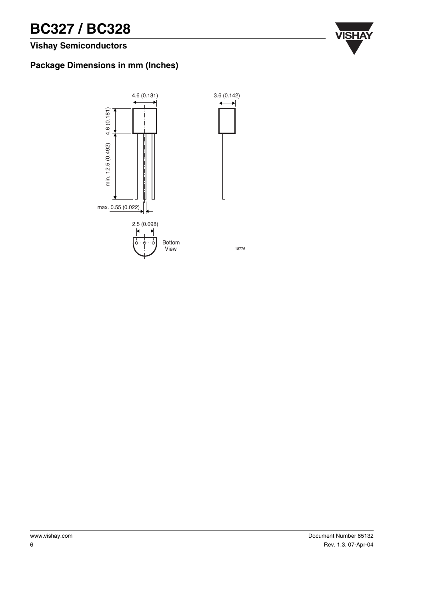# **BC327 / BC328** WISHA

## **Vishay Semiconductors**

### **Package Dimensions in mm (Inches)**